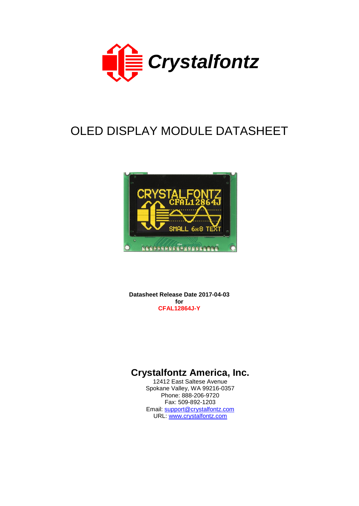

# OLED DISPLAY MODULE DATASHEET



**Datasheet Release Date 2017-04-03 for CFAL12864J-Y**

# **Crystalfontz America, Inc.**

12412 East Saltese Avenue Spokane Valley, WA 99216-0357 Phone: 888-206-9720 Fax: 509-892-1203 Email: [support@crystalfontz.com](mailto:support@crystalfontz.com) URL: [www.crystalfontz.com](http://www.crystalfontz.com/)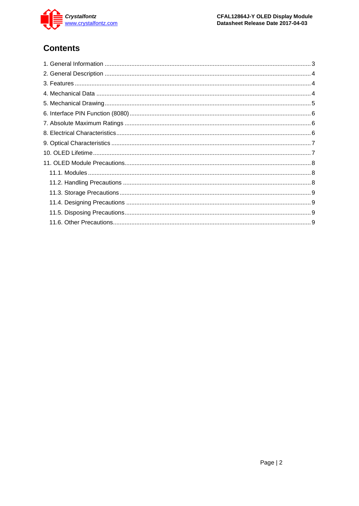

# **Contents**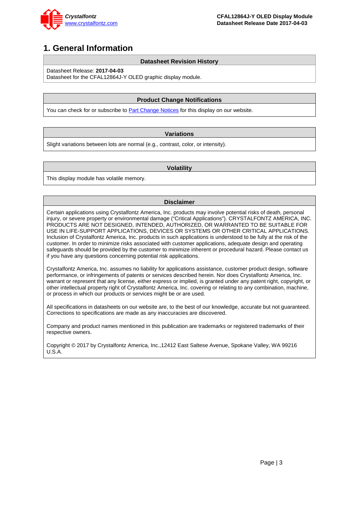

### <span id="page-2-0"></span>**1. General Information**

#### **Datasheet Revision History**

Datasheet Release: **2017-04-03**

Datasheet for the CFAL12864J-Y OLED graphic display module.

#### **Product Change Notifications**

You can check for or subscribe to **Part [Change Notices](https://www.crystalfontz.com/news/pcn.php)** for this display on our website.

#### **Variations**

Slight variations between lots are normal (e.g., contrast, color, or intensity).

#### **Volatility**

This display module has volatile memory.

#### **Disclaimer**

Certain applications using Crystalfontz America, Inc. products may involve potential risks of death, personal injury, or severe property or environmental damage ("Critical Applications"). CRYSTALFONTZ AMERICA, INC. PRODUCTS ARE NOT DESIGNED, INTENDED, AUTHORIZED, OR WARRANTED TO BE SUITABLE FOR USE IN LIFE-SUPPORT APPLICATIONS, DEVICES OR SYSTEMS OR OTHER CRITICAL APPLICATIONS. Inclusion of Crystalfontz America, Inc. products in such applications is understood to be fully at the risk of the customer. In order to minimize risks associated with customer applications, adequate design and operating safeguards should be provided by the customer to minimize inherent or procedural hazard. Please contact us if you have any questions concerning potential risk applications.

Crystalfontz America, Inc. assumes no liability for applications assistance, customer product design, software performance, or infringements of patents or services described herein. Nor does Crystalfontz America, Inc. warrant or represent that any license, either express or implied, is granted under any patent right, copyright, or other intellectual property right of Crystalfontz America, Inc. covering or relating to any combination, machine, or process in which our products or services might be or are used.

All specifications in datasheets on our website are, to the best of our knowledge, accurate but not guaranteed. Corrections to specifications are made as any inaccuracies are discovered.

Company and product names mentioned in this publication are trademarks or registered trademarks of their respective owners.

Copyright © 2017 by Crystalfontz America, Inc.,12412 East Saltese Avenue, Spokane Valley, WA 99216 U.S.A.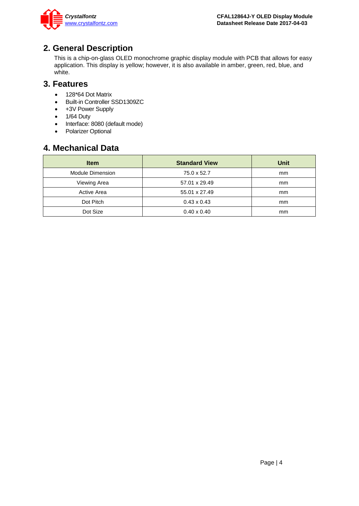

### <span id="page-3-0"></span>**2. General Description**

This is a chip-on-glass OLED monochrome graphic display module with PCB that allows for easy application. This display is yellow; however, it is also available in amber, green, red, blue, and white.

### <span id="page-3-1"></span>**3. Features**

- 128\*64 Dot Matrix
- Built-in Controller SSD1309ZC
- +3V Power Supply
- 1/64 Duty
- Interface: 8080 (default mode)
- Polarizer Optional

### <span id="page-3-2"></span>**4. Mechanical Data**

| <b>Item</b>      | <b>Standard View</b> | <b>Unit</b>   |
|------------------|----------------------|---------------|
| Module Dimension | 75.0 x 52.7          | <sub>mm</sub> |
| Viewing Area     | 57.01 x 29.49        | <sub>mm</sub> |
| Active Area      | 55.01 x 27.49        | <sub>mm</sub> |
| Dot Pitch        | $0.43 \times 0.43$   | <sub>mm</sub> |
| Dot Size         | $0.40 \times 0.40$   | <sub>mm</sub> |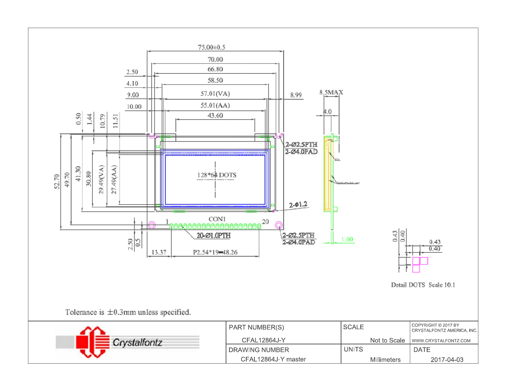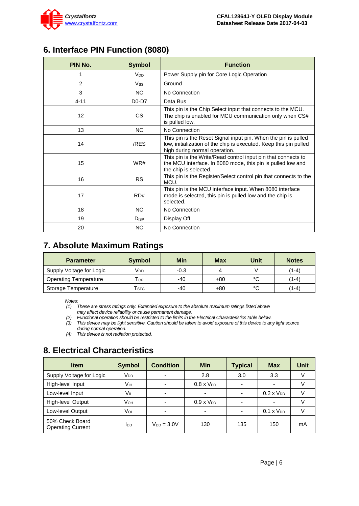

# <span id="page-5-0"></span>**6. Interface PIN Function (8080)**

| PIN No.        | <b>Symbol</b>   | <b>Function</b>                                                                                                                                                      |  |  |
|----------------|-----------------|----------------------------------------------------------------------------------------------------------------------------------------------------------------------|--|--|
| 1              | V <sub>DD</sub> | Power Supply pin for Core Logic Operation                                                                                                                            |  |  |
| $\overline{2}$ | <b>Vss</b>      | Ground                                                                                                                                                               |  |  |
| 3              | N <sub>C</sub>  | No Connection                                                                                                                                                        |  |  |
| $4 - 11$       | $D0-D7$         | Data Bus                                                                                                                                                             |  |  |
| 12             | <b>CS</b>       | This pin is the Chip Select input that connects to the MCU.<br>The chip is enabled for MCU communication only when CS#<br>is pulled low.                             |  |  |
| 13             | N <sub>C</sub>  | No Connection                                                                                                                                                        |  |  |
| 14             | /RES            | This pin is the Reset Signal input pin. When the pin is pulled<br>low, initialization of the chip is executed. Keep this pin pulled<br>high during normal operation. |  |  |
| 15             | WR#             | This pin is the Write/Read control input pin that connects to<br>the MCU interface. In 8080 mode, this pin is pulled low and<br>the chip is selected.                |  |  |
| 16             | <b>RS</b>       | This pin is the Register/Select control pin that connects to the<br>MCU.                                                                                             |  |  |
| 17             | RD#             | This pin is the MCU interface input. When 8080 interface<br>mode is selected, this pin is pulled low and the chip is<br>selected.                                    |  |  |
| 18             | N <sub>C</sub>  | No Connection                                                                                                                                                        |  |  |
| 19             | $D_{ISP}$       | Display Off                                                                                                                                                          |  |  |
| 20             | <b>NC</b>       | No Connection                                                                                                                                                        |  |  |

### <span id="page-5-1"></span>**7. Absolute Maximum Ratings**

| <b>Parameter</b>             | <b>Symbol</b>               | Min    | <b>Max</b> | Unit   | <b>Notes</b> |
|------------------------------|-----------------------------|--------|------------|--------|--------------|
| Supply Voltage for Logic     | Voo                         | $-0.3$ |            |        | (1-4)        |
| <b>Operating Temperature</b> | Тор                         | -40    | $+80$      | $\sim$ | (1-4)        |
| Storage Temperature          | $\mathsf{T}_{\textsf{STG}}$ | -40    | +80        | $\sim$ | (1-4)        |

*Notes:*

*(1) These are stress ratings only. Extended exposure to the absolute maximum ratings listed above may affect device reliability or cause permanent damage.* 

*(2) Functional operation should be restricted to the limits in the Electrical Characteristics table below.*

*(3) This device may be light sensitive. Caution should be taken to avoid exposure of this device to any light source during normal operation.* 

*(4) This device is not radiation protected.*

# <span id="page-5-2"></span>**8. Electrical Characteristics**

| <b>Item</b>                                 | <b>Symbol</b>   | <b>Condition</b>         | Min                 | <b>Typical</b>           | <b>Max</b>          | <b>Unit</b> |
|---------------------------------------------|-----------------|--------------------------|---------------------|--------------------------|---------------------|-------------|
| Supply Voltage for Logic                    | V <sub>DD</sub> | $\overline{\phantom{0}}$ | 2.8                 | 3.0                      | 3.3                 |             |
| High-level Input                            | Vıн             | -                        | $0.8 \times V_{DD}$ | $\overline{\phantom{0}}$ |                     |             |
| Low-level Input                             | Vil             | ۰                        | ٠                   | $\overline{\phantom{a}}$ | $0.2 \times V_{DD}$ |             |
| High-level Output                           | Vон             | -                        | $0.9 \times V_{DD}$ | $\overline{\phantom{0}}$ |                     |             |
| Low-level Output                            | Vol             |                          | ۰                   |                          | $0.1 \times V_{DD}$ |             |
| 50% Check Board<br><b>Operating Current</b> | IDD             | $V_{DD} = 3.0V$          | 130                 | 135                      | 150                 | mA          |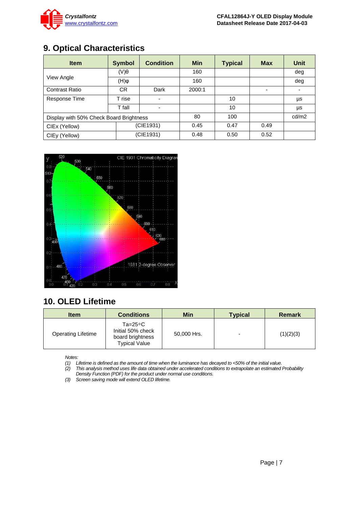

# <span id="page-6-0"></span>**9. Optical Characteristics**

| <b>Item</b>                             | <b>Symbol</b> | <b>Condition</b> | <b>Min</b> | <b>Typical</b> | <b>Max</b>               | Unit  |
|-----------------------------------------|---------------|------------------|------------|----------------|--------------------------|-------|
| View Angle                              | $(V)\theta$   |                  | 160        |                |                          | deg   |
|                                         | $\phi(H)$     |                  | 160        |                |                          | deg   |
| <b>Contrast Ratio</b>                   | CR.           | Dark             | 2000:1     |                | $\overline{\phantom{0}}$ | -     |
| Response Time                           | T rise        |                  |            | 10             |                          | μs    |
|                                         | T fall        |                  |            | 10             |                          | μs    |
| Display with 50% Check Board Brightness |               |                  | 80         | 100            |                          | cd/m2 |
| CIEx (Yellow)                           | (CIE1931)     |                  | 0.45       | 0.47           | 0.49                     |       |
| CIEy (Yellow)                           | (CIE1931)     |                  | 0.48       | 0.50           | 0.52                     |       |



# <span id="page-6-1"></span>**10. OLED Lifetime**

| <b>Item</b>               | <b>Conditions</b>                                                                   | Min         | <b>Typical</b> | Remark    |
|---------------------------|-------------------------------------------------------------------------------------|-------------|----------------|-----------|
| <b>Operating Lifetime</b> | $Ta = 25^{\circ}C$<br>Initial 50% check<br>board brightness<br><b>Typical Value</b> | 50,000 Hrs. |                | (1)(2)(3) |

*Notes:* 

*(1) Lifetime is defined as the amount of time when the luminance has decayed to <50% of the initial value.*

*(2) This analysis method uses life data obtained under accelerated conditions to extrapolate an estimated Probability Density Function (PDF) for the product under normal use conditions.*

*(3) Screen saving mode will extend OLED lifetime.*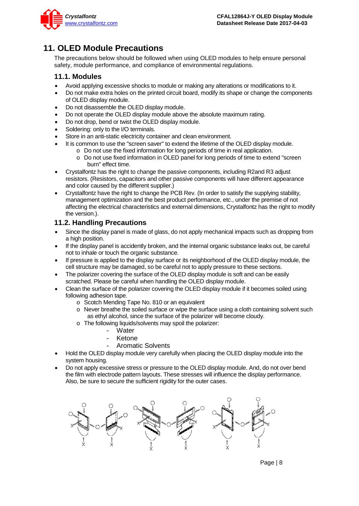

# <span id="page-7-0"></span>**11. OLED Module Precautions**

The precautions below should be followed when using OLED modules to help ensure personal safety, module performance, and compliance of environmental regulations.

#### <span id="page-7-1"></span>**11.1. Modules**

- Avoid applying excessive shocks to module or making any alterations or modifications to it.
- Do not make extra holes on the printed circuit board, modify its shape or change the components of OLED display module.
- Do not disassemble the OLED display module.
- Do not operate the OLED display module above the absolute maximum rating.
- Do not drop, bend or twist the OLED display module.
- Soldering: only to the I/O terminals.
- Store in an anti-static electricity container and clean environment.
	- It is common to use the "screen saver" to extend the lifetime of the OLED display module.
		- o Do not use the fixed information for long periods of time in real application.
		- o Do not use fixed information in OLED panel for long periods of time to extend "screen burn" effect time.
- Crystalfontz has the right to change the passive components, including R2and R3 adjust resistors. (Resistors, capacitors and other passive components will have different appearance and color caused by the different supplier.)
- Crystalfontz have the right to change the PCB Rev. (In order to satisfy the supplying stability, management optimization and the best product performance, etc., under the premise of not affecting the electrical characteristics and external dimensions, Crystalfontz has the right to modify the version.).

### <span id="page-7-2"></span>**11.2. Handling Precautions**

- Since the display panel is made of glass, do not apply mechanical impacts such as dropping from a high position.
- If the display panel is accidently broken, and the internal organic substance leaks out, be careful not to inhale or touch the organic substance.
- If pressure is applied to the display surface or its neighborhood of the OLED display module, the cell structure may be damaged, so be careful not to apply pressure to these sections.
- The polarizer covering the surface of the OLED display module is soft and can be easily scratched. Please be careful when handling the OLED display module.
- Clean the surface of the polarizer covering the OLED display module if it becomes soiled using following adhesion tape.
	- o Scotch Mending Tape No. 810 or an equivalent
	- o Never breathe the soiled surface or wipe the surface using a cloth containing solvent such as ethyl alcohol, since the surface of the polarizer will become cloudy.
	- o The following liquids/solvents may spoil the polarizer:
		- Water
		- **Ketone**
		- Aromatic Solvents
- Hold the OLED display module very carefully when placing the OLED display module into the system housing.
- Do not apply excessive stress or pressure to the OLED display module. And, do not over bend the film with electrode pattern layouts. These stresses will influence the display performance. Also, be sure to secure the sufficient rigidity for the outer cases.



Page | 8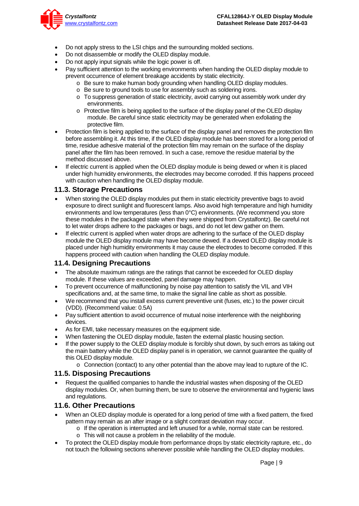

- Do not apply stress to the LSI chips and the surrounding molded sections.
- Do not disassemble or modify the OLED display module.
- Do not apply input signals while the logic power is off.
- Pay sufficient attention to the working environments when handing the OLED display module to prevent occurrence of element breakage accidents by static electricity.
	- o Be sure to make human body grounding when handling OLED display modules.
	- o Be sure to ground tools to use for assembly such as soldering irons.
	- o To suppress generation of static electricity, avoid carrying out assembly work under dry environments.
	- $\circ$  Protective film is being applied to the surface of the display panel of the OLED display module. Be careful since static electricity may be generated when exfoliating the protective film.
- Protection film is being applied to the surface of the display panel and removes the protection film before assembling it. At this time, if the OLED display module has been stored for a long period of time, residue adhesive material of the protection film may remain on the surface of the display panel after the film has been removed. In such a case, remove the residue material by the method discussed above.
- If electric current is applied when the OLED display module is being dewed or when it is placed under high humidity environments, the electrodes may become corroded. If this happens proceed with caution when handling the OLED display module.

#### <span id="page-8-0"></span>**11.3. Storage Precautions**

- When storing the OLED display modules put them in static electricity preventive bags to avoid exposure to direct sunlight and fluorescent lamps. Also avoid high temperature and high humidity environments and low temperatures (less than 0°C) environments. (We recommend you store these modules in the packaged state when they were shipped from Crystalfontz). Be careful not to let water drops adhere to the packages or bags, and do not let dew gather on them.
- If electric current is applied when water drops are adhering to the surface of the OLED display module the OLED display module may have become dewed. If a dewed OLED display module is placed under high humidity environments it may cause the electrodes to become corroded. If this happens proceed with caution when handling the OLED display module.

#### <span id="page-8-1"></span>**11.4. Designing Precautions**

- The absolute maximum ratings are the ratings that cannot be exceeded for OLED display module. If these values are exceeded, panel damage may happen.
- To prevent occurrence of malfunctioning by noise pay attention to satisfy the VIL and VIH specifications and, at the same time, to make the signal line cable as short as possible.
- We recommend that you install excess current preventive unit (fuses, etc.) to the power circuit (VDD). (Recommend value: 0.5A)
- Pay sufficient attention to avoid occurrence of mutual noise interference with the neighboring devices.
- As for EMI, take necessary measures on the equipment side.
- When fastening the OLED display module, fasten the external plastic housing section.
- If the power supply to the OLED display module is forcibly shut down, by such errors as taking out the main battery while the OLED display panel is in operation, we cannot guarantee the quality of this OLED display module.
	- o Connection (contact) to any other potential than the above may lead to rupture of the IC.

#### <span id="page-8-2"></span>**11.5. Disposing Precautions**

• Request the qualified companies to handle the industrial wastes when disposing of the OLED display modules. Or, when burning them, be sure to observe the environmental and hygienic laws and regulations.

#### <span id="page-8-3"></span>**11.6. Other Precautions**

- When an OLED display module is operated for a long period of time with a fixed pattern, the fixed pattern may remain as an after image or a slight contrast deviation may occur.
	- $\circ$  If the operation is interrupted and left unused for a while, normal state can be restored.
	- o This will not cause a problem in the reliability of the module.
- To protect the OLED display module from performance drops by static electricity rapture, etc., do not touch the following sections whenever possible while handling the OLED display modules.